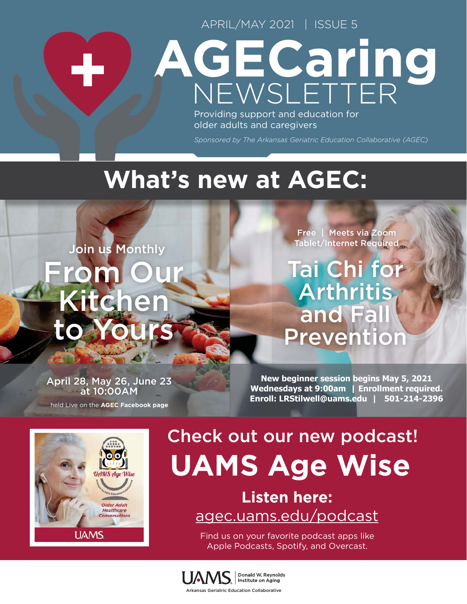APRIL/MAY 2021 | ISSUE 5

# NEWSLETTER **AGECaring**

Providing support and education for older adults and caregivers

*Sponsored by The Arkansas Geriatric Education Collaborative (AGEC)*

## **What's new at AGEC:**

rom ( Kitchen to Yours Join us Monthly

Free | Meets via Zoom Tablet/Internet Required

Tai Chi for Arthritis and Fall Prevention

April 28, May 26, June 23 at 10:00AM held Live on the **[AGEC Facebook page](https://www.facebook.com/uamsagec/ )**

**New beginner session begins May 5, 2021 Wednesdays at 9:00am | Enrollment required. Enroll: [LRStilwell@uams.edu](mailto:LRStilwell%40uams.edu?subject=) | 501-214-2396**



33

# Check out our new podcast! **UAMS Age Wise**

**Listen here:** [agec.uams.edu/podcast](http://agec.uams.edu/podcast)

Find us on your favorite podcast apps like Apple Podcasts, Spotify, and Overcast.